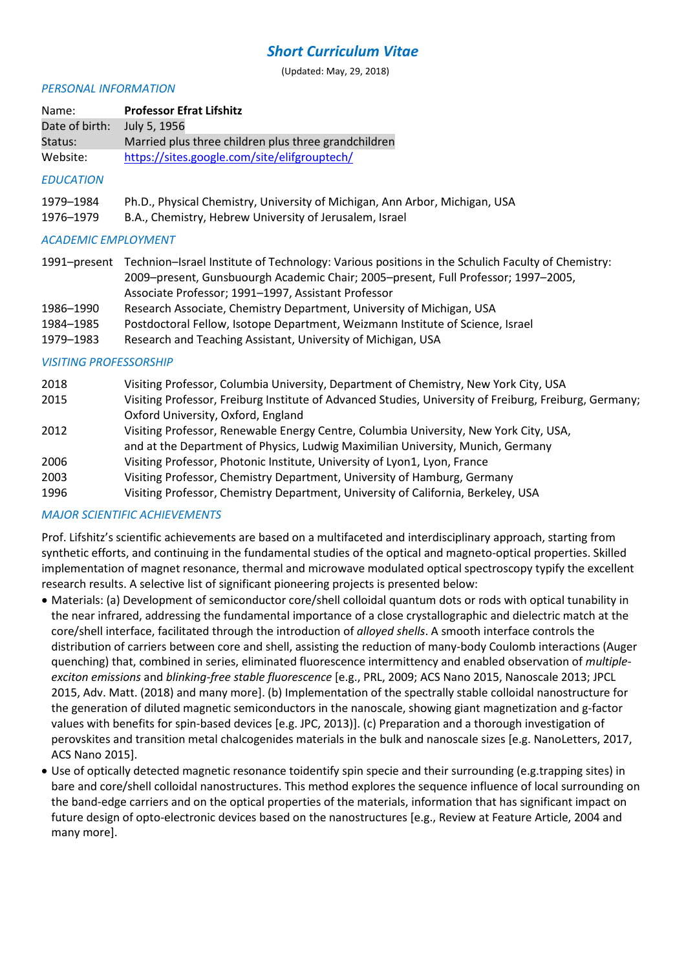# *Short Curriculum Vitae*

(Updated: May, 29, 2018)

#### *PERSONAL INFORMATION*

| Name:                         | <b>Professor Efrat Lifshitz</b>                                                                                                                                                                                                               |
|-------------------------------|-----------------------------------------------------------------------------------------------------------------------------------------------------------------------------------------------------------------------------------------------|
| Date of birth:                | July 5, 1956                                                                                                                                                                                                                                  |
| Status:                       | Married plus three children plus three grandchildren                                                                                                                                                                                          |
| Website:                      | https://sites.google.com/site/elifgrouptech/                                                                                                                                                                                                  |
| <b>EDUCATION</b>              |                                                                                                                                                                                                                                               |
| 1979-1984                     | Ph.D., Physical Chemistry, University of Michigan, Ann Arbor, Michigan, USA                                                                                                                                                                   |
| 1976-1979                     | B.A., Chemistry, Hebrew University of Jerusalem, Israel                                                                                                                                                                                       |
| <b>ACADEMIC EMPLOYMENT</b>    |                                                                                                                                                                                                                                               |
| 1991-present                  | Technion-Israel Institute of Technology: Various positions in the Schulich Faculty of Chemistry:<br>2009-present, Gunsbuourgh Academic Chair; 2005-present, Full Professor; 1997-2005,<br>Associate Professor; 1991-1997, Assistant Professor |
| 1986-1990                     | Research Associate, Chemistry Department, University of Michigan, USA                                                                                                                                                                         |
| 1984-1985                     | Postdoctoral Fellow, Isotope Department, Weizmann Institute of Science, Israel                                                                                                                                                                |
| 1979-1983                     | Research and Teaching Assistant, University of Michigan, USA                                                                                                                                                                                  |
| <b>VISITING PROFESSORSHIP</b> |                                                                                                                                                                                                                                               |
| 2018                          | Visiting Professor, Columbia University, Department of Chemistry, New York City, USA                                                                                                                                                          |
| 2015                          | Visiting Professor, Freiburg Institute of Advanced Studies, University of Freiburg, Freiburg, Germany;<br>Oxford University, Oxford, England                                                                                                  |

- 2012 Visiting Professor, Renewable Energy Centre, Columbia University, New York City, USA, and at the Department of Physics, Ludwig Maximilian University, Munich, Germany
- 2006 Visiting Professor, Photonic Institute, University of Lyon1, Lyon, France
- 2003 Visiting Professor, Chemistry Department, University of Hamburg, Germany
- 1996 Visiting Professor, Chemistry Department, University of California, Berkeley, USA

### *MAJOR SCIENTIFIC ACHIEVEMENTS*

Prof. Lifshitz's scientific achievements are based on a multifaceted and interdisciplinary approach, starting from synthetic efforts, and continuing in the fundamental studies of the optical and magneto-optical properties. Skilled implementation of magnet resonance, thermal and microwave modulated optical spectroscopy typify the excellent research results. A selective list of significant pioneering projects is presented below:

- Materials: (a) Development of semiconductor core/shell colloidal quantum dots or rods with optical tunability in the near infrared, addressing the fundamental importance of a close crystallographic and dielectric match at the core/shell interface, facilitated through the introduction of *alloyed shells*. A smooth interface controls the distribution of carriers between core and shell, assisting the reduction of many-body Coulomb interactions (Auger quenching) that, combined in series, eliminated fluorescence intermittency and enabled observation of *multipleexciton emissions* and *blinking-free stable fluorescence* [e.g., PRL, 2009; ACS Nano 2015, Nanoscale 2013; JPCL 2015, Adv. Matt. (2018) and many more]. (b) Implementation of the spectrally stable colloidal nanostructure for the generation of diluted magnetic semiconductors in the nanoscale, showing giant magnetization and g-factor values with benefits for spin-based devices [e.g. JPC, 2013)]. (c) Preparation and a thorough investigation of perovskites and transition metal chalcogenides materials in the bulk and nanoscale sizes [e.g. NanoLetters, 2017, ACS Nano 2015].
- Use of optically detected magnetic resonance toidentify spin specie and their surrounding (e.g.trapping sites) in bare and core/shell colloidal nanostructures. This method explores the sequence influence of local surrounding on the band-edge carriers and on the optical properties of the materials, information that has significant impact on future design of opto-electronic devices based on the nanostructures [e.g., Review at Feature Article, 2004 and many more].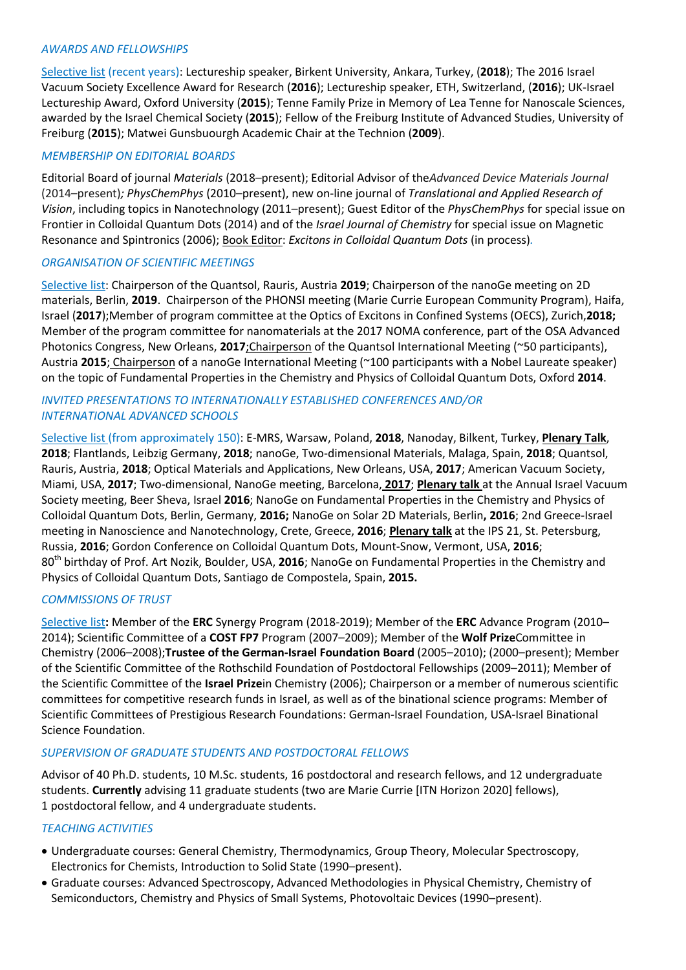#### *AWARDS AND FELLOWSHIPS*

Selective list (recent years): Lectureship speaker, Birkent University, Ankara, Turkey, (**2018**); The 2016 Israel Vacuum Society Excellence Award for Research (**2016**); Lectureship speaker, ETH, Switzerland, (**2016**); UK-Israel Lectureship Award, Oxford University (**2015**); Tenne Family Prize in Memory of Lea Tenne for Nanoscale Sciences, awarded by the Israel Chemical Society (**2015**); Fellow of the Freiburg Institute of Advanced Studies, University of Freiburg (**2015**); Matwei Gunsbuourgh Academic Chair at the Technion (**2009**).

### *MEMBERSHIP ON EDITORIAL BOARDS*

Editorial Board of journal *Materials* (2018*–*present); Editorial Advisor of the*Advanced Device Materials Journal*  (2014–present)*; PhysChemPhys* (2010*–*present), new on-line journal of *Translational and Applied Research of Vision*, including topics in Nanotechnology (2011*–*present); Guest Editor of the *PhysChemPhys* for special issue on Frontier in Colloidal Quantum Dots (2014) and of the *Israel Journal of Chemistry* for special issue on Magnetic Resonance and Spintronics (2006); Book Editor: *Excitons in Colloidal Quantum Dots* (in process)*.*

#### *ORGANISATION OF SCIENTIFIC MEETINGS*

Selective list: Chairperson of the Quantsol, Rauris, Austria **2019**; Chairperson of the nanoGe meeting on 2D materials, Berlin, **2019**. Chairperson of the PHONSI meeting (Marie Currie European Community Program), Haifa, Israel (**2017**);Member of program committee at the Optics of Excitons in Confined Systems (OECS), Zurich,**2018;**  Member of the program committee for nanomaterials at the 2017 NOMA conference, part of the OSA Advanced Photonics Congress, New Orleans, **2017**;Chairperson of the Quantsol International Meeting (~50 participants), Austria **2015**; Chairperson of a nanoGe International Meeting (~100 participants with a Nobel Laureate speaker) on the topic of Fundamental Properties in the Chemistry and Physics of Colloidal Quantum Dots, Oxford **2014**.

#### *INVITED PRESENTATIONS TO INTERNATIONALLY ESTABLISHED CONFERENCES AND/OR INTERNATIONAL ADVANCED SCHOOLS*

Selective list (from approximately 150): E-MRS, Warsaw, Poland, **2018**, Nanoday, Bilkent, Turkey, **Plenary Talk**, **2018**; Flantlands, Leibzig Germany, **2018**; nanoGe, Two-dimensional Materials, Malaga, Spain, **2018**; Quantsol, Rauris, Austria, **2018**; Optical Materials and Applications, New Orleans, USA, **2017**; American Vacuum Society, Miami, USA, **2017**; Two-dimensional, NanoGe meeting, Barcelona, **2017**; **Plenary talk** at the Annual Israel Vacuum Society meeting, Beer Sheva, Israel **2016**; NanoGe on Fundamental Properties in the Chemistry and Physics of Colloidal Quantum Dots, Berlin, Germany, **2016;** NanoGe on Solar 2D Materials, Berlin**, 2016**; 2nd Greece-Israel meeting in Nanoscience and Nanotechnology, Crete, Greece, **2016**; **Plenary talk** at the IPS 21, St. Petersburg, Russia, **2016**; Gordon Conference on Colloidal Quantum Dots, Mount-Snow, Vermont, USA, **2016**; 80th birthday of Prof. Art Nozik, Boulder, USA, **2016**; NanoGe on Fundamental Properties in the Chemistry and Physics of Colloidal Quantum Dots, Santiago de Compostela, Spain, **2015.**

### *COMMISSIONS OF TRUST*

Selective list**:** Member of the **ERC** Synergy Program (2018-2019); Member of the **ERC** Advance Program (2010– 2014); Scientific Committee of a **COST FP7** Program (2007–2009); Member of the **Wolf Prize**Committee in Chemistry (2006–2008);**Trustee of the German-Israel Foundation Board** (2005–2010); (2000–present); Member of the Scientific Committee of the Rothschild Foundation of Postdoctoral Fellowships (2009–2011); Member of the Scientific Committee of the **Israel Prize**in Chemistry (2006); Chairperson or a member of numerous scientific committees for competitive research funds in Israel, as well as of the binational science programs: Member of Scientific Committees of Prestigious Research Foundations: German-Israel Foundation, USA-Israel Binational Science Foundation.

### *SUPERVISION OF GRADUATE STUDENTS AND POSTDOCTORAL FELLOWS*

Advisor of 40 Ph.D. students, 10 M.Sc. students, 16 postdoctoral and research fellows, and 12 undergraduate students. **Currently** advising 11 graduate students (two are Marie Currie [ITN Horizon 2020] fellows), 1 postdoctoral fellow, and 4 undergraduate students.

#### *TEACHING ACTIVITIES*

- Undergraduate courses: General Chemistry, Thermodynamics, Group Theory, Molecular Spectroscopy, Electronics for Chemists, Introduction to Solid State (1990–present).
- Graduate courses: Advanced Spectroscopy, Advanced Methodologies in Physical Chemistry, Chemistry of Semiconductors, Chemistry and Physics of Small Systems, Photovoltaic Devices (1990–present).